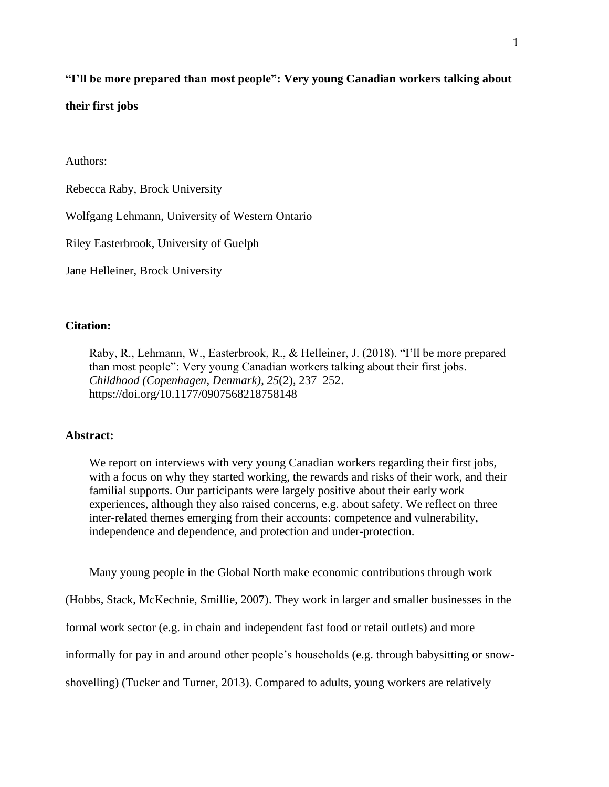# **"I'll be more prepared than most people": Very young Canadian workers talking about**

**their first jobs**

# Authors:

Rebecca Raby, Brock University

Wolfgang Lehmann, University of Western Ontario

Riley Easterbrook, University of Guelph

Jane Helleiner, Brock University

# **Citation:**

Raby, R., Lehmann, W., Easterbrook, R., & Helleiner, J. (2018). "I'll be more prepared than most people": Very young Canadian workers talking about their first jobs. *Childhood (Copenhagen, Denmark)*, *25*(2), 237–252. https://doi.org/10.1177/0907568218758148

#### **Abstract:**

We report on interviews with very young Canadian workers regarding their first jobs, with a focus on why they started working, the rewards and risks of their work, and their familial supports. Our participants were largely positive about their early work experiences, although they also raised concerns, e.g. about safety. We reflect on three inter-related themes emerging from their accounts: competence and vulnerability, independence and dependence, and protection and under-protection.

Many young people in the Global North make economic contributions through work

(Hobbs, Stack, McKechnie, Smillie, 2007). They work in larger and smaller businesses in the

formal work sector (e.g. in chain and independent fast food or retail outlets) and more

informally for pay in and around other people's households (e.g. through babysitting or snow-

shovelling) (Tucker and Turner, 2013). Compared to adults, young workers are relatively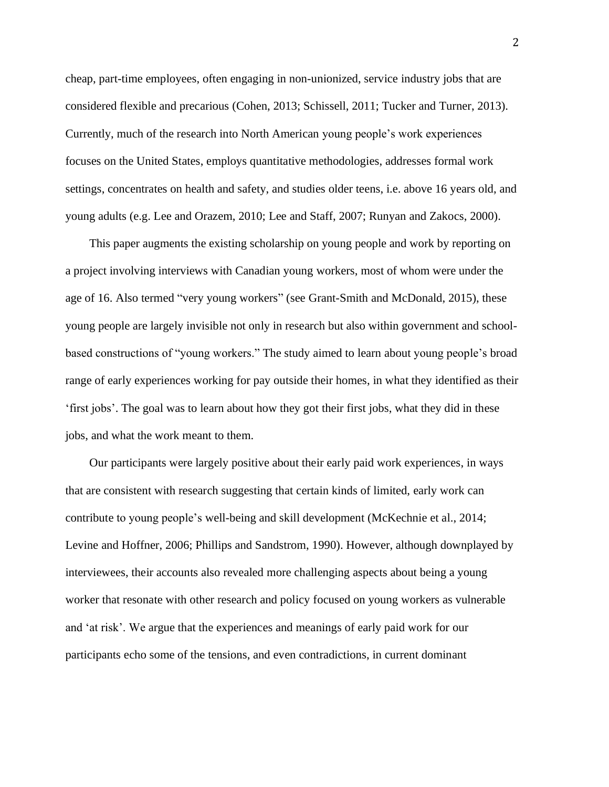cheap, part-time employees, often engaging in non-unionized, service industry jobs that are considered flexible and precarious (Cohen, 2013; Schissell, 2011; Tucker and Turner, 2013). Currently, much of the research into North American young people's work experiences focuses on the United States, employs quantitative methodologies, addresses formal work settings, concentrates on health and safety, and studies older teens, i.e. above 16 years old, and young adults (e.g. Lee and Orazem, 2010; Lee and Staff, 2007; Runyan and Zakocs, 2000).

This paper augments the existing scholarship on young people and work by reporting on a project involving interviews with Canadian young workers, most of whom were under the age of 16. Also termed "very young workers" (see Grant-Smith and McDonald, 2015), these young people are largely invisible not only in research but also within government and schoolbased constructions of "young workers." The study aimed to learn about young people's broad range of early experiences working for pay outside their homes, in what they identified as their 'first jobs'. The goal was to learn about how they got their first jobs, what they did in these jobs, and what the work meant to them.

Our participants were largely positive about their early paid work experiences, in ways that are consistent with research suggesting that certain kinds of limited, early work can contribute to young people's well-being and skill development (McKechnie et al., 2014; Levine and Hoffner, 2006; Phillips and Sandstrom, 1990). However, although downplayed by interviewees, their accounts also revealed more challenging aspects about being a young worker that resonate with other research and policy focused on young workers as vulnerable and 'at risk'. We argue that the experiences and meanings of early paid work for our participants echo some of the tensions, and even contradictions, in current dominant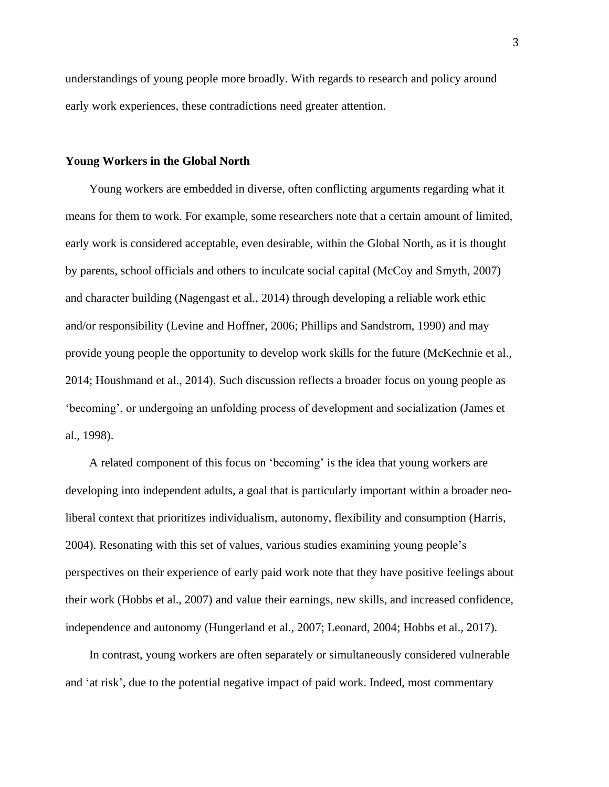understandings of young people more broadly. With regards to research and policy around early work experiences, these contradictions need greater attention.

### **Young Workers in the Global North**

Young workers are embedded in diverse, often conflicting arguments regarding what it means for them to work. For example, some researchers note that a certain amount of limited, early work is considered acceptable, even desirable, within the Global North, as it is thought by parents, school officials and others to inculcate social capital (McCoy and Smyth, 2007) and character building (Nagengast et al., 2014) through developing a reliable work ethic and/or responsibility (Levine and Hoffner, 2006; Phillips and Sandstrom, 1990) and may provide young people the opportunity to develop work skills for the future (McKechnie et al., 2014; Houshmand et al., 2014). Such discussion reflects a broader focus on young people as 'becoming', or undergoing an unfolding process of development and socialization (James et al., 1998).

A related component of this focus on 'becoming' is the idea that young workers are developing into independent adults, a goal that is particularly important within a broader neoliberal context that prioritizes individualism, autonomy, flexibility and consumption (Harris, 2004). Resonating with this set of values, various studies examining young people's perspectives on their experience of early paid work note that they have positive feelings about their work (Hobbs et al., 2007) and value their earnings, new skills, and increased confidence, independence and autonomy (Hungerland et al., 2007; Leonard, 2004; Hobbs et al., 2017).

In contrast, young workers are often separately or simultaneously considered vulnerable and 'at risk', due to the potential negative impact of paid work. Indeed, most commentary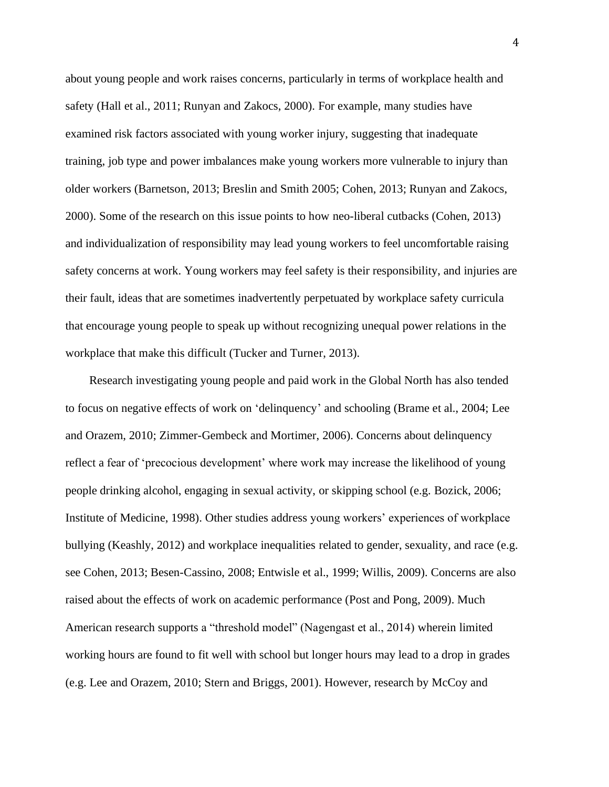about young people and work raises concerns, particularly in terms of workplace health and safety (Hall et al., 2011; Runyan and Zakocs, 2000). For example, many studies have examined risk factors associated with young worker injury, suggesting that inadequate training, job type and power imbalances make young workers more vulnerable to injury than older workers (Barnetson, 2013; Breslin and Smith 2005; Cohen, 2013; Runyan and Zakocs, 2000). Some of the research on this issue points to how neo-liberal cutbacks (Cohen, 2013) and individualization of responsibility may lead young workers to feel uncomfortable raising safety concerns at work. Young workers may feel safety is their responsibility, and injuries are their fault, ideas that are sometimes inadvertently perpetuated by workplace safety curricula that encourage young people to speak up without recognizing unequal power relations in the workplace that make this difficult (Tucker and Turner, 2013).

Research investigating young people and paid work in the Global North has also tended to focus on negative effects of work on 'delinquency' and schooling (Brame et al., 2004; Lee and Orazem, 2010; Zimmer-Gembeck and Mortimer, 2006). Concerns about delinquency reflect a fear of 'precocious development' where work may increase the likelihood of young people drinking alcohol, engaging in sexual activity, or skipping school (e.g. Bozick, 2006; Institute of Medicine, 1998). Other studies address young workers' experiences of workplace bullying (Keashly, 2012) and workplace inequalities related to gender, sexuality, and race (e.g. see Cohen, 2013; Besen-Cassino, 2008; Entwisle et al., 1999; Willis, 2009). Concerns are also raised about the effects of work on academic performance (Post and Pong, 2009). Much American research supports a "threshold model" (Nagengast et al., 2014) wherein limited working hours are found to fit well with school but longer hours may lead to a drop in grades (e.g. Lee and Orazem, 2010; Stern and Briggs, 2001). However, research by McCoy and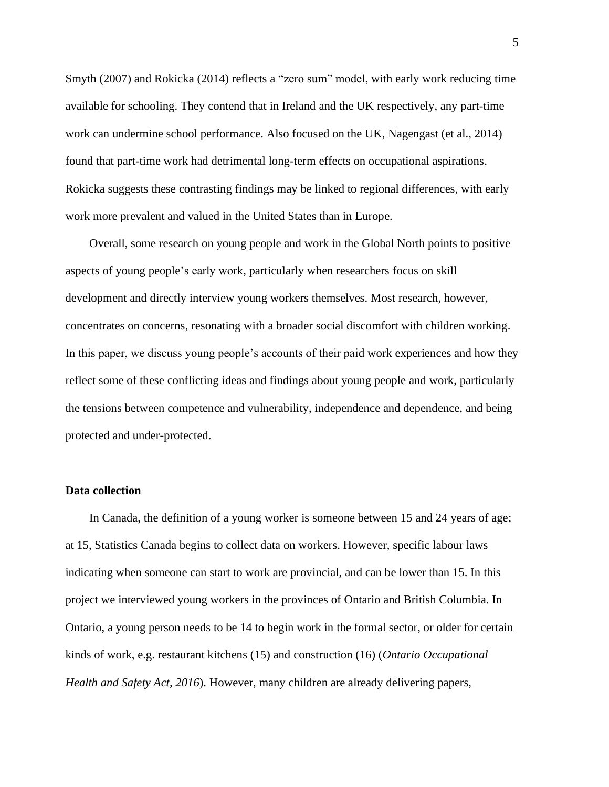Smyth (2007) and Rokicka (2014) reflects a "zero sum" model, with early work reducing time available for schooling. They contend that in Ireland and the UK respectively, any part-time work can undermine school performance. Also focused on the UK, Nagengast (et al., 2014) found that part-time work had detrimental long-term effects on occupational aspirations. Rokicka suggests these contrasting findings may be linked to regional differences, with early work more prevalent and valued in the United States than in Europe.

Overall, some research on young people and work in the Global North points to positive aspects of young people's early work, particularly when researchers focus on skill development and directly interview young workers themselves. Most research, however, concentrates on concerns, resonating with a broader social discomfort with children working. In this paper, we discuss young people's accounts of their paid work experiences and how they reflect some of these conflicting ideas and findings about young people and work, particularly the tensions between competence and vulnerability, independence and dependence, and being protected and under-protected.

# **Data collection**

In Canada, the definition of a young worker is someone between 15 and 24 years of age; at 15, Statistics Canada begins to collect data on workers. However, specific labour laws indicating when someone can start to work are provincial, and can be lower than 15. In this project we interviewed young workers in the provinces of Ontario and British Columbia. In Ontario, a young person needs to be 14 to begin work in the formal sector, or older for certain kinds of work, e.g. restaurant kitchens (15) and construction (16) (*Ontario Occupational Health and Safety Act, 2016*). However, many children are already delivering papers,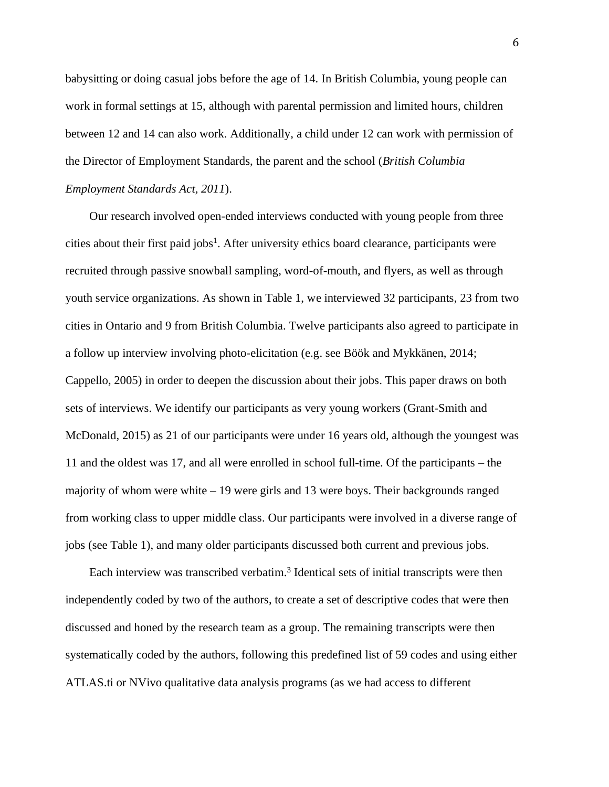babysitting or doing casual jobs before the age of 14. In British Columbia, young people can work in formal settings at 15, although with parental permission and limited hours, children between 12 and 14 can also work. Additionally, a child under 12 can work with permission of the Director of Employment Standards, the parent and the school (*British Columbia Employment Standards Act, 2011*).

Our research involved open-ended interviews conducted with young people from three cities about their first paid jobs<sup>1</sup>. After university ethics board clearance, participants were recruited through passive snowball sampling, word-of-mouth, and flyers, as well as through youth service organizations. As shown in Table 1, we interviewed 32 participants, 23 from two cities in Ontario and 9 from British Columbia. Twelve participants also agreed to participate in a follow up interview involving photo-elicitation (e.g. see Böök and Mykkänen, 2014; Cappello, 2005) in order to deepen the discussion about their jobs. This paper draws on both sets of interviews. We identify our participants as very young workers (Grant-Smith and McDonald, 2015) as 21 of our participants were under 16 years old, although the youngest was 11 and the oldest was 17, and all were enrolled in school full-time. Of the participants – the majority of whom were white – 19 were girls and 13 were boys. Their backgrounds ranged from working class to upper middle class. Our participants were involved in a diverse range of jobs (see Table 1), and many older participants discussed both current and previous jobs.

Each interview was transcribed verbatim. 3 Identical sets of initial transcripts were then independently coded by two of the authors, to create a set of descriptive codes that were then discussed and honed by the research team as a group. The remaining transcripts were then systematically coded by the authors, following this predefined list of 59 codes and using either ATLAS.ti or NVivo qualitative data analysis programs (as we had access to different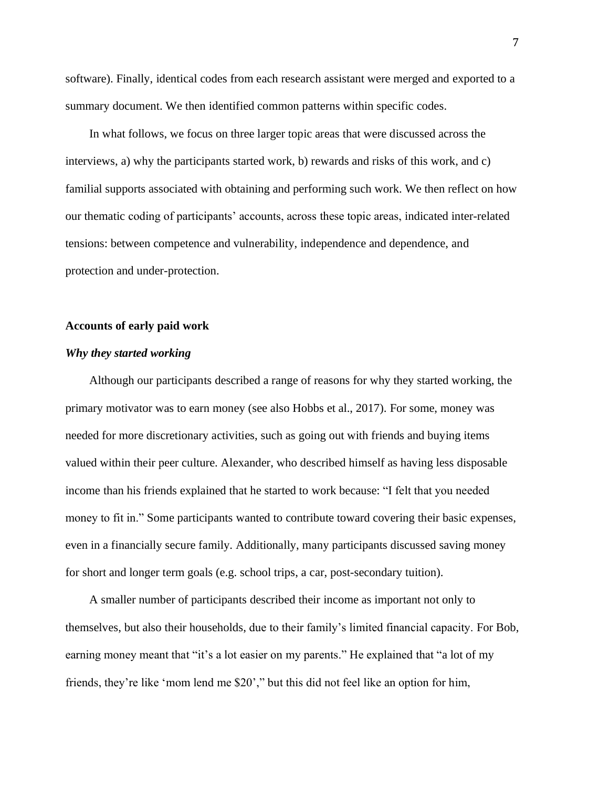software). Finally, identical codes from each research assistant were merged and exported to a summary document. We then identified common patterns within specific codes.

In what follows, we focus on three larger topic areas that were discussed across the interviews, a) why the participants started work, b) rewards and risks of this work, and c) familial supports associated with obtaining and performing such work. We then reflect on how our thematic coding of participants' accounts, across these topic areas, indicated inter-related tensions: between competence and vulnerability, independence and dependence, and protection and under-protection.

# **Accounts of early paid work**

#### *Why they started working*

Although our participants described a range of reasons for why they started working, the primary motivator was to earn money (see also Hobbs et al., 2017). For some, money was needed for more discretionary activities, such as going out with friends and buying items valued within their peer culture. Alexander, who described himself as having less disposable income than his friends explained that he started to work because: "I felt that you needed money to fit in." Some participants wanted to contribute toward covering their basic expenses, even in a financially secure family. Additionally, many participants discussed saving money for short and longer term goals (e.g. school trips, a car, post-secondary tuition).

A smaller number of participants described their income as important not only to themselves, but also their households, due to their family's limited financial capacity. For Bob, earning money meant that "it's a lot easier on my parents." He explained that "a lot of my friends, they're like 'mom lend me \$20'," but this did not feel like an option for him,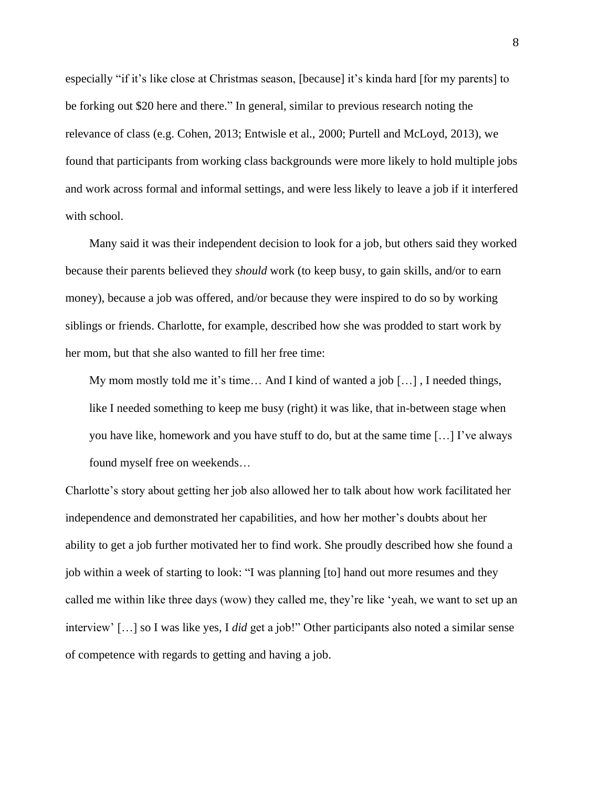especially "if it's like close at Christmas season, [because] it's kinda hard [for my parents] to be forking out \$20 here and there." In general, similar to previous research noting the relevance of class (e.g. Cohen, 2013; Entwisle et al., 2000; Purtell and McLoyd, 2013), we found that participants from working class backgrounds were more likely to hold multiple jobs and work across formal and informal settings, and were less likely to leave a job if it interfered with school.

Many said it was their independent decision to look for a job, but others said they worked because their parents believed they *should* work (to keep busy, to gain skills, and/or to earn money), because a job was offered, and/or because they were inspired to do so by working siblings or friends. Charlotte, for example, described how she was prodded to start work by her mom, but that she also wanted to fill her free time:

My mom mostly told me it's time… And I kind of wanted a job […] , I needed things, like I needed something to keep me busy (right) it was like, that in-between stage when you have like, homework and you have stuff to do, but at the same time […] I've always found myself free on weekends…

Charlotte's story about getting her job also allowed her to talk about how work facilitated her independence and demonstrated her capabilities, and how her mother's doubts about her ability to get a job further motivated her to find work. She proudly described how she found a job within a week of starting to look: "I was planning [to] hand out more resumes and they called me within like three days (wow) they called me, they're like 'yeah, we want to set up an interview' […] so I was like yes, I *did* get a job!" Other participants also noted a similar sense of competence with regards to getting and having a job.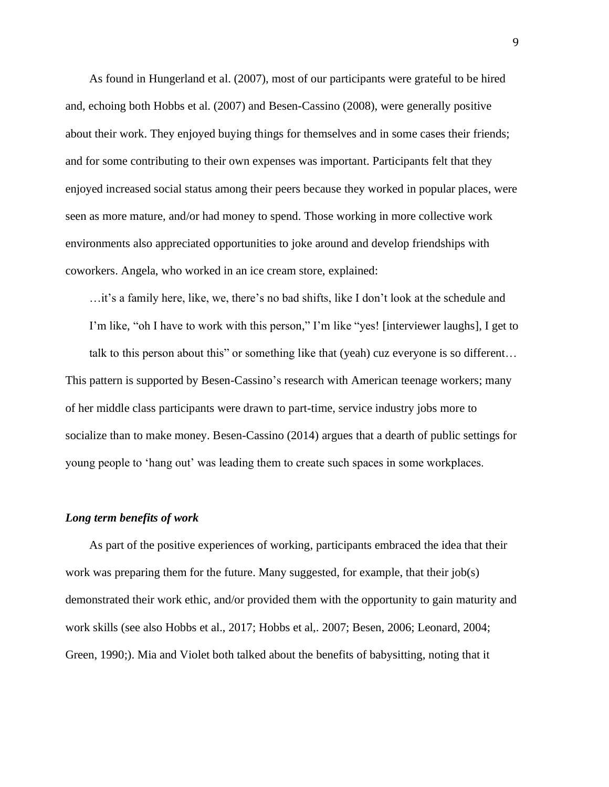As found in Hungerland et al. (2007), most of our participants were grateful to be hired and, echoing both Hobbs et al. (2007) and Besen-Cassino (2008), were generally positive about their work. They enjoyed buying things for themselves and in some cases their friends; and for some contributing to their own expenses was important. Participants felt that they enjoyed increased social status among their peers because they worked in popular places, were seen as more mature, and/or had money to spend. Those working in more collective work environments also appreciated opportunities to joke around and develop friendships with coworkers. Angela, who worked in an ice cream store, explained:

…it's a family here, like, we, there's no bad shifts, like I don't look at the schedule and I'm like, "oh I have to work with this person," I'm like "yes! [interviewer laughs], I get to talk to this person about this" or something like that (yeah) cuz everyone is so different… This pattern is supported by Besen-Cassino's research with American teenage workers; many of her middle class participants were drawn to part-time, service industry jobs more to socialize than to make money. Besen-Cassino (2014) argues that a dearth of public settings for young people to 'hang out' was leading them to create such spaces in some workplaces.

# *Long term benefits of work*

As part of the positive experiences of working, participants embraced the idea that their work was preparing them for the future. Many suggested, for example, that their job(s) demonstrated their work ethic, and/or provided them with the opportunity to gain maturity and work skills (see also Hobbs et al., 2017; Hobbs et al,. 2007; Besen, 2006; Leonard, 2004; Green, 1990;). Mia and Violet both talked about the benefits of babysitting, noting that it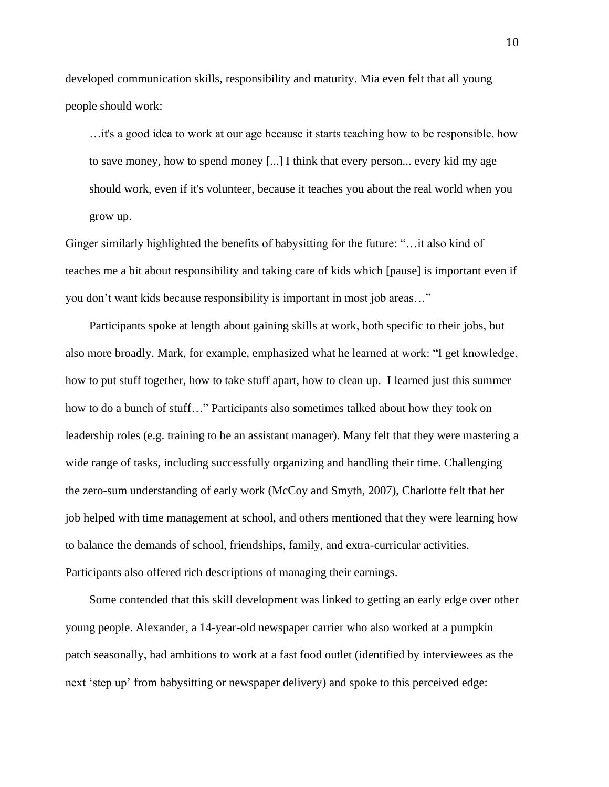developed communication skills, responsibility and maturity. Mia even felt that all young people should work:

…it's a good idea to work at our age because it starts teaching how to be responsible, how to save money, how to spend money [...] I think that every person... every kid my age should work, even if it's volunteer, because it teaches you about the real world when you grow up.

Ginger similarly highlighted the benefits of babysitting for the future: "…it also kind of teaches me a bit about responsibility and taking care of kids which [pause] is important even if you don't want kids because responsibility is important in most job areas…"

Participants spoke at length about gaining skills at work, both specific to their jobs, but also more broadly. Mark, for example, emphasized what he learned at work: "I get knowledge, how to put stuff together, how to take stuff apart, how to clean up. I learned just this summer how to do a bunch of stuff…" Participants also sometimes talked about how they took on leadership roles (e.g. training to be an assistant manager). Many felt that they were mastering a wide range of tasks, including successfully organizing and handling their time. Challenging the zero-sum understanding of early work (McCoy and Smyth, 2007), Charlotte felt that her job helped with time management at school, and others mentioned that they were learning how to balance the demands of school, friendships, family, and extra-curricular activities. Participants also offered rich descriptions of managing their earnings.

Some contended that this skill development was linked to getting an early edge over other young people. Alexander, a 14-year-old newspaper carrier who also worked at a pumpkin patch seasonally, had ambitions to work at a fast food outlet (identified by interviewees as the next 'step up' from babysitting or newspaper delivery) and spoke to this perceived edge:

10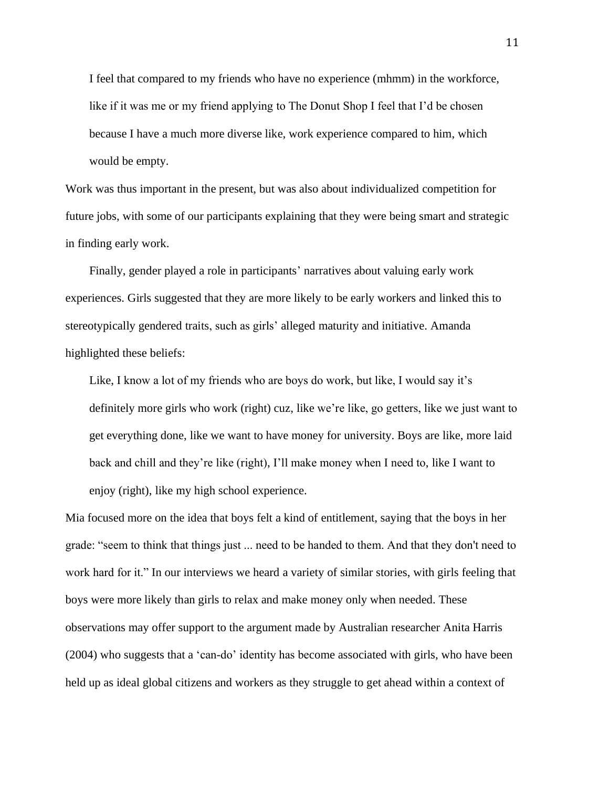I feel that compared to my friends who have no experience (mhmm) in the workforce, like if it was me or my friend applying to The Donut Shop I feel that I'd be chosen because I have a much more diverse like, work experience compared to him, which would be empty.

Work was thus important in the present, but was also about individualized competition for future jobs, with some of our participants explaining that they were being smart and strategic in finding early work.

Finally, gender played a role in participants' narratives about valuing early work experiences. Girls suggested that they are more likely to be early workers and linked this to stereotypically gendered traits, such as girls' alleged maturity and initiative. Amanda highlighted these beliefs:

Like, I know a lot of my friends who are boys do work, but like, I would say it's definitely more girls who work (right) cuz, like we're like, go getters, like we just want to get everything done, like we want to have money for university. Boys are like, more laid back and chill and they're like (right), I'll make money when I need to, like I want to enjoy (right), like my high school experience.

Mia focused more on the idea that boys felt a kind of entitlement, saying that the boys in her grade: "seem to think that things just ... need to be handed to them. And that they don't need to work hard for it." In our interviews we heard a variety of similar stories, with girls feeling that boys were more likely than girls to relax and make money only when needed. These observations may offer support to the argument made by Australian researcher Anita Harris (2004) who suggests that a 'can-do' identity has become associated with girls, who have been held up as ideal global citizens and workers as they struggle to get ahead within a context of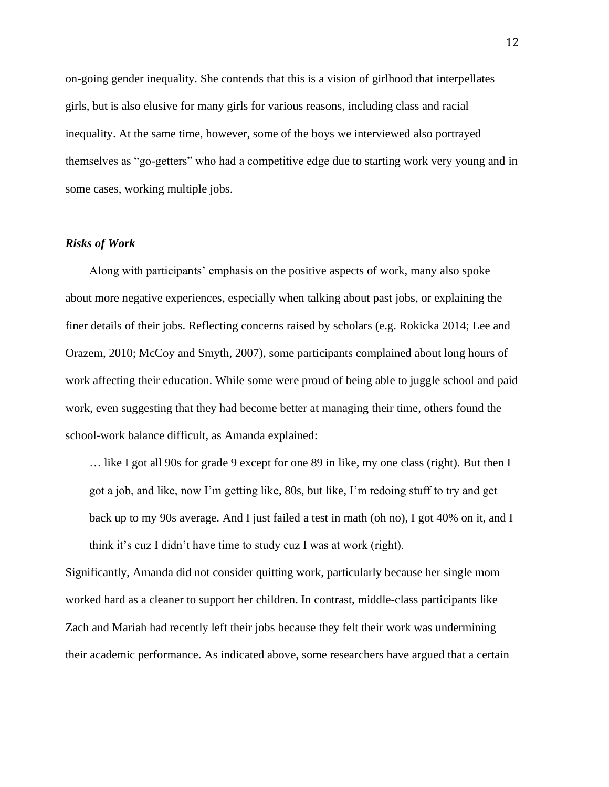on-going gender inequality. She contends that this is a vision of girlhood that interpellates girls, but is also elusive for many girls for various reasons, including class and racial inequality. At the same time, however, some of the boys we interviewed also portrayed themselves as "go-getters" who had a competitive edge due to starting work very young and in some cases, working multiple jobs.

### *Risks of Work*

Along with participants' emphasis on the positive aspects of work, many also spoke about more negative experiences, especially when talking about past jobs, or explaining the finer details of their jobs. Reflecting concerns raised by scholars (e.g. Rokicka 2014; Lee and Orazem, 2010; McCoy and Smyth, 2007), some participants complained about long hours of work affecting their education. While some were proud of being able to juggle school and paid work, even suggesting that they had become better at managing their time, others found the school-work balance difficult, as Amanda explained:

… like I got all 90s for grade 9 except for one 89 in like, my one class (right). But then I got a job, and like, now I'm getting like, 80s, but like, I'm redoing stuff to try and get back up to my 90s average. And I just failed a test in math (oh no), I got 40% on it, and I think it's cuz I didn't have time to study cuz I was at work (right).

Significantly, Amanda did not consider quitting work, particularly because her single mom worked hard as a cleaner to support her children. In contrast, middle-class participants like Zach and Mariah had recently left their jobs because they felt their work was undermining their academic performance. As indicated above, some researchers have argued that a certain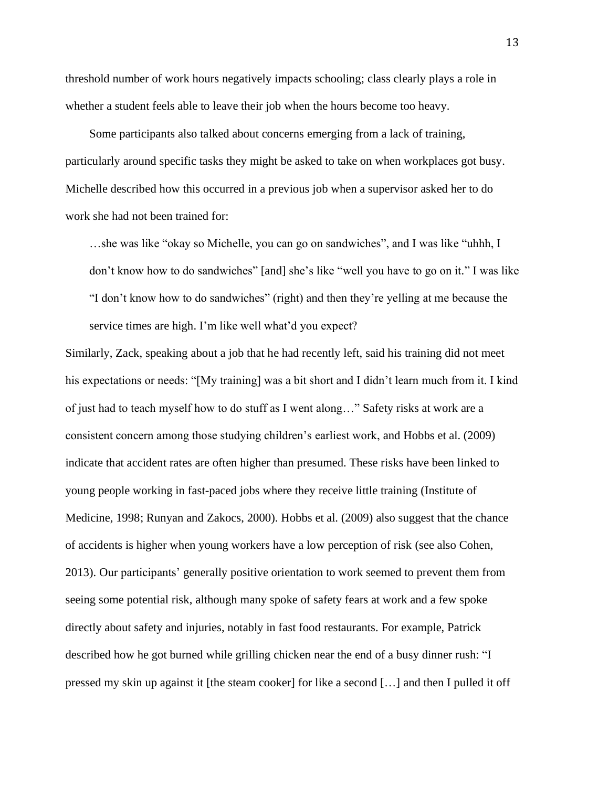threshold number of work hours negatively impacts schooling; class clearly plays a role in whether a student feels able to leave their job when the hours become too heavy.

Some participants also talked about concerns emerging from a lack of training, particularly around specific tasks they might be asked to take on when workplaces got busy. Michelle described how this occurred in a previous job when a supervisor asked her to do work she had not been trained for:

…she was like "okay so Michelle, you can go on sandwiches", and I was like "uhhh, I don't know how to do sandwiches" [and] she's like "well you have to go on it." I was like "I don't know how to do sandwiches" (right) and then they're yelling at me because the service times are high. I'm like well what'd you expect?

Similarly, Zack, speaking about a job that he had recently left, said his training did not meet his expectations or needs: "[My training] was a bit short and I didn't learn much from it. I kind of just had to teach myself how to do stuff as I went along…" Safety risks at work are a consistent concern among those studying children's earliest work, and Hobbs et al. (2009) indicate that accident rates are often higher than presumed. These risks have been linked to young people working in fast-paced jobs where they receive little training (Institute of Medicine, 1998; Runyan and Zakocs, 2000). Hobbs et al. (2009) also suggest that the chance of accidents is higher when young workers have a low perception of risk (see also Cohen, 2013). Our participants' generally positive orientation to work seemed to prevent them from seeing some potential risk, although many spoke of safety fears at work and a few spoke directly about safety and injuries, notably in fast food restaurants. For example, Patrick described how he got burned while grilling chicken near the end of a busy dinner rush: "I pressed my skin up against it [the steam cooker] for like a second […] and then I pulled it off

13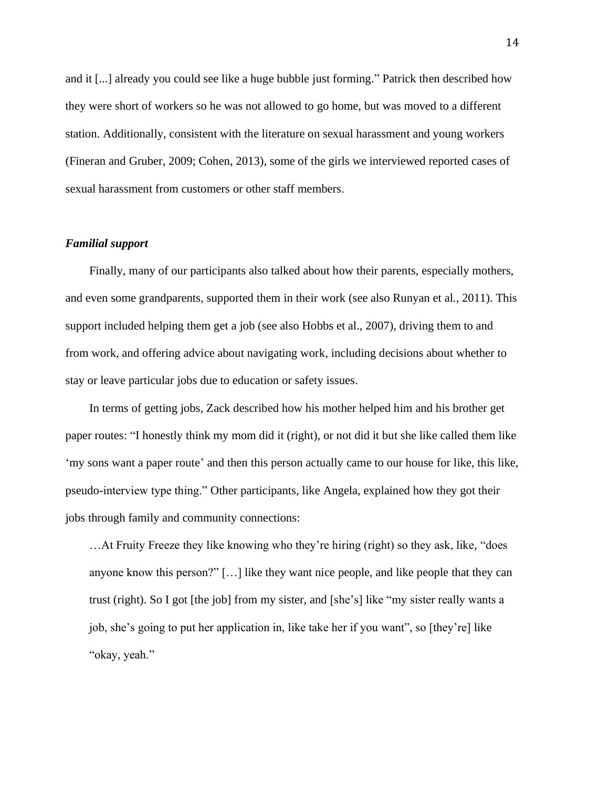and it [...] already you could see like a huge bubble just forming." Patrick then described how they were short of workers so he was not allowed to go home, but was moved to a different station. Additionally, consistent with the literature on sexual harassment and young workers (Fineran and Gruber, 2009; Cohen, 2013), some of the girls we interviewed reported cases of sexual harassment from customers or other staff members.

# *Familial support*

Finally, many of our participants also talked about how their parents, especially mothers, and even some grandparents, supported them in their work (see also Runyan et al., 2011). This support included helping them get a job (see also Hobbs et al., 2007), driving them to and from work, and offering advice about navigating work, including decisions about whether to stay or leave particular jobs due to education or safety issues.

In terms of getting jobs, Zack described how his mother helped him and his brother get paper routes: "I honestly think my mom did it (right), or not did it but she like called them like 'my sons want a paper route' and then this person actually came to our house for like, this like, pseudo-interview type thing." Other participants, like Angela, explained how they got their jobs through family and community connections:

…At Fruity Freeze they like knowing who they're hiring (right) so they ask, like, "does anyone know this person?" […] like they want nice people, and like people that they can trust (right). So I got [the job] from my sister, and [she's] like "my sister really wants a job, she's going to put her application in, like take her if you want", so [they're] like "okay, yeah."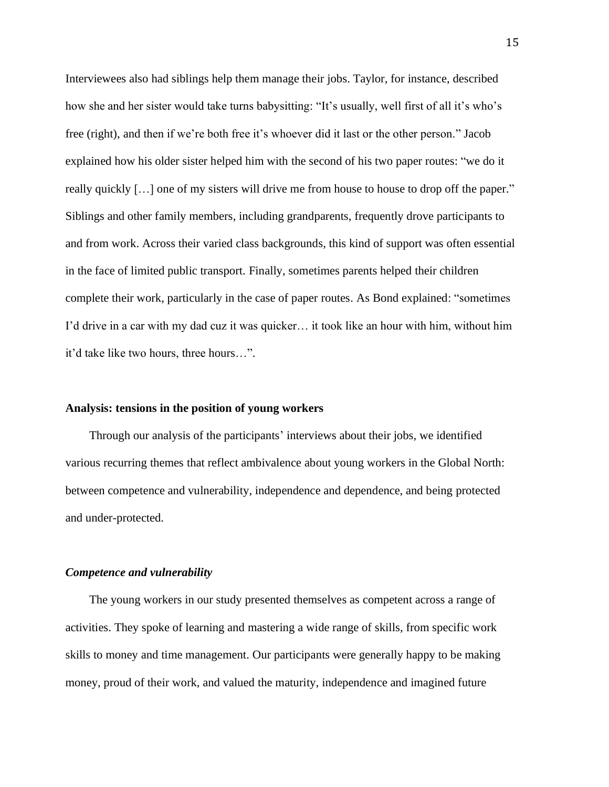Interviewees also had siblings help them manage their jobs. Taylor, for instance, described how she and her sister would take turns babysitting: "It's usually, well first of all it's who's free (right), and then if we're both free it's whoever did it last or the other person." Jacob explained how his older sister helped him with the second of his two paper routes: "we do it really quickly […] one of my sisters will drive me from house to house to drop off the paper." Siblings and other family members, including grandparents, frequently drove participants to and from work. Across their varied class backgrounds, this kind of support was often essential in the face of limited public transport. Finally, sometimes parents helped their children complete their work, particularly in the case of paper routes. As Bond explained: "sometimes I'd drive in a car with my dad cuz it was quicker… it took like an hour with him, without him it'd take like two hours, three hours…".

#### **Analysis: tensions in the position of young workers**

Through our analysis of the participants' interviews about their jobs, we identified various recurring themes that reflect ambivalence about young workers in the Global North: between competence and vulnerability, independence and dependence, and being protected and under-protected.

# *Competence and vulnerability*

The young workers in our study presented themselves as competent across a range of activities. They spoke of learning and mastering a wide range of skills, from specific work skills to money and time management. Our participants were generally happy to be making money, proud of their work, and valued the maturity, independence and imagined future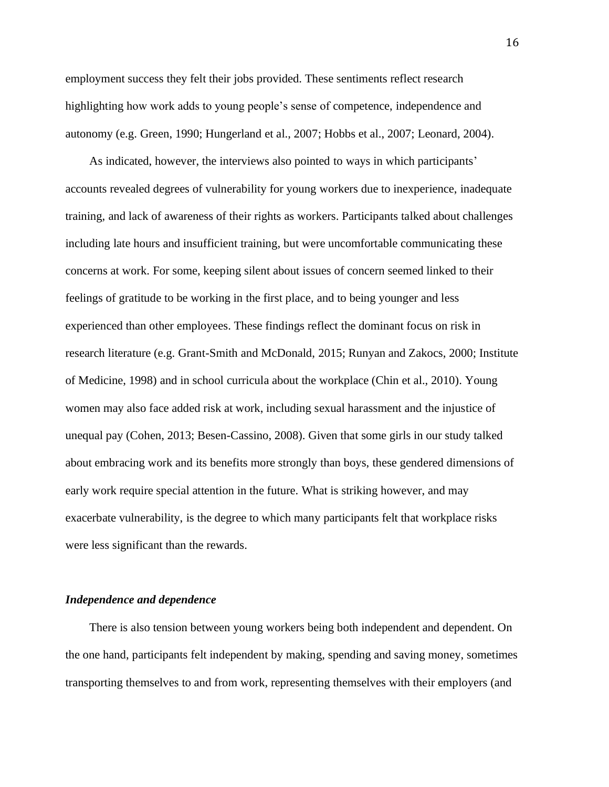employment success they felt their jobs provided. These sentiments reflect research highlighting how work adds to young people's sense of competence, independence and autonomy (e.g. Green, 1990; Hungerland et al., 2007; Hobbs et al., 2007; Leonard, 2004).

As indicated, however, the interviews also pointed to ways in which participants' accounts revealed degrees of vulnerability for young workers due to inexperience, inadequate training, and lack of awareness of their rights as workers. Participants talked about challenges including late hours and insufficient training, but were uncomfortable communicating these concerns at work. For some, keeping silent about issues of concern seemed linked to their feelings of gratitude to be working in the first place, and to being younger and less experienced than other employees. These findings reflect the dominant focus on risk in research literature (e.g. Grant-Smith and McDonald, 2015; Runyan and Zakocs, 2000; Institute of Medicine, 1998) and in school curricula about the workplace (Chin et al., 2010). Young women may also face added risk at work, including sexual harassment and the injustice of unequal pay (Cohen, 2013; Besen-Cassino, 2008). Given that some girls in our study talked about embracing work and its benefits more strongly than boys, these gendered dimensions of early work require special attention in the future. What is striking however, and may exacerbate vulnerability, is the degree to which many participants felt that workplace risks were less significant than the rewards.

#### *Independence and dependence*

There is also tension between young workers being both independent and dependent. On the one hand, participants felt independent by making, spending and saving money, sometimes transporting themselves to and from work, representing themselves with their employers (and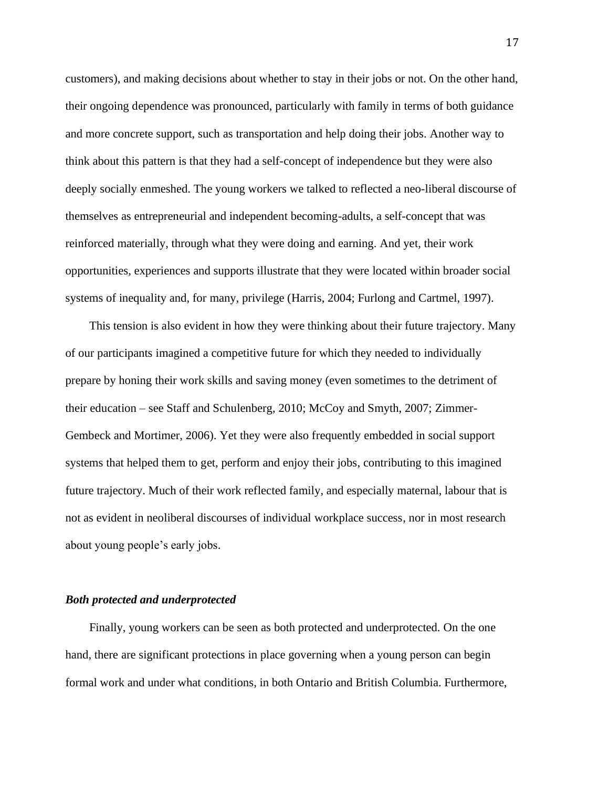customers), and making decisions about whether to stay in their jobs or not. On the other hand, their ongoing dependence was pronounced, particularly with family in terms of both guidance and more concrete support, such as transportation and help doing their jobs. Another way to think about this pattern is that they had a self-concept of independence but they were also deeply socially enmeshed. The young workers we talked to reflected a neo-liberal discourse of themselves as entrepreneurial and independent becoming-adults, a self-concept that was reinforced materially, through what they were doing and earning. And yet, their work opportunities, experiences and supports illustrate that they were located within broader social systems of inequality and, for many, privilege (Harris, 2004; Furlong and Cartmel, 1997).

This tension is also evident in how they were thinking about their future trajectory. Many of our participants imagined a competitive future for which they needed to individually prepare by honing their work skills and saving money (even sometimes to the detriment of their education – see Staff and Schulenberg, 2010; McCoy and Smyth, 2007; Zimmer-Gembeck and Mortimer, 2006). Yet they were also frequently embedded in social support systems that helped them to get, perform and enjoy their jobs, contributing to this imagined future trajectory. Much of their work reflected family, and especially maternal, labour that is not as evident in neoliberal discourses of individual workplace success, nor in most research about young people's early jobs.

#### *Both protected and underprotected*

Finally, young workers can be seen as both protected and underprotected. On the one hand, there are significant protections in place governing when a young person can begin formal work and under what conditions, in both Ontario and British Columbia. Furthermore,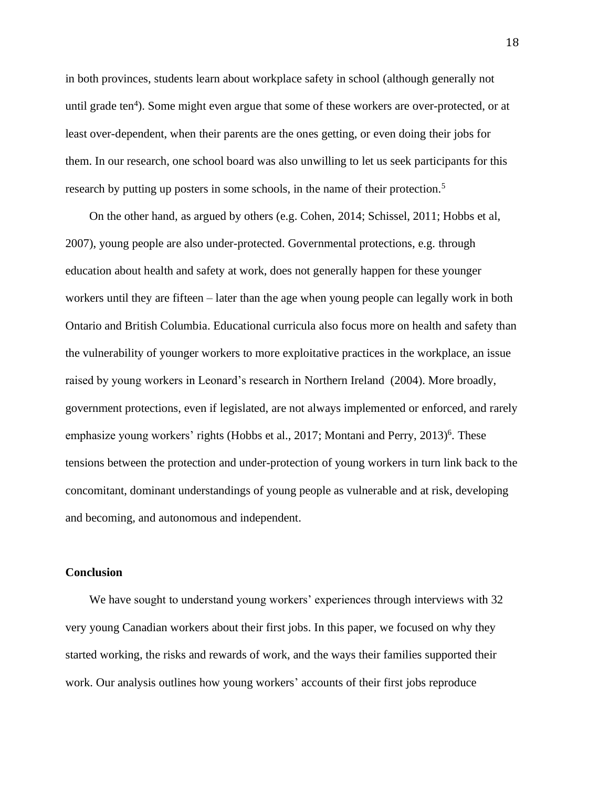in both provinces, students learn about workplace safety in school (although generally not until grade ten<sup>4</sup>). Some might even argue that some of these workers are over-protected, or at least over-dependent, when their parents are the ones getting, or even doing their jobs for them. In our research, one school board was also unwilling to let us seek participants for this research by putting up posters in some schools, in the name of their protection.<sup>5</sup>

On the other hand, as argued by others (e.g. Cohen, 2014; Schissel, 2011; Hobbs et al, 2007), young people are also under-protected. Governmental protections, e.g. through education about health and safety at work, does not generally happen for these younger workers until they are fifteen – later than the age when young people can legally work in both Ontario and British Columbia. Educational curricula also focus more on health and safety than the vulnerability of younger workers to more exploitative practices in the workplace, an issue raised by young workers in Leonard's research in Northern Ireland (2004). More broadly, government protections, even if legislated, are not always implemented or enforced, and rarely emphasize young workers' rights (Hobbs et al., 2017; Montani and Perry, 2013)<sup>6</sup>. These tensions between the protection and under-protection of young workers in turn link back to the concomitant, dominant understandings of young people as vulnerable and at risk, developing and becoming, and autonomous and independent.

## **Conclusion**

We have sought to understand young workers' experiences through interviews with 32 very young Canadian workers about their first jobs. In this paper, we focused on why they started working, the risks and rewards of work, and the ways their families supported their work. Our analysis outlines how young workers' accounts of their first jobs reproduce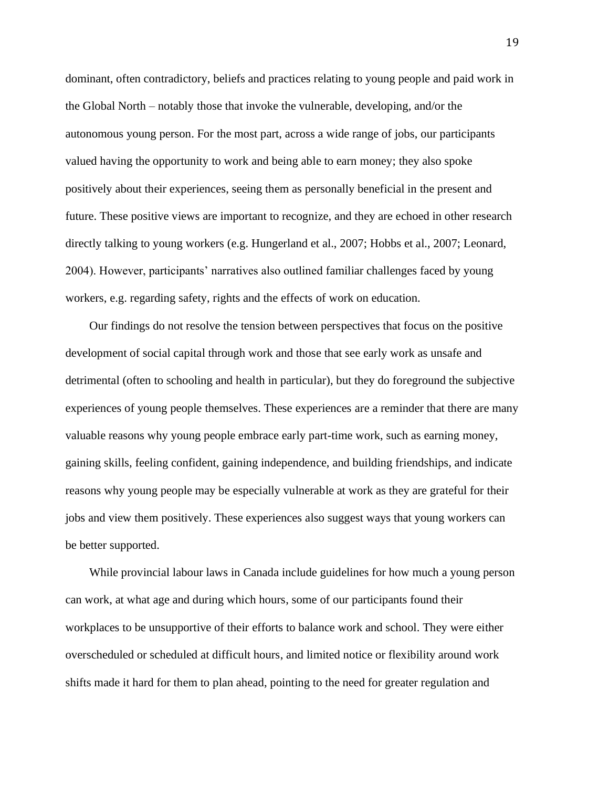dominant, often contradictory, beliefs and practices relating to young people and paid work in the Global North – notably those that invoke the vulnerable, developing, and/or the autonomous young person. For the most part, across a wide range of jobs, our participants valued having the opportunity to work and being able to earn money; they also spoke positively about their experiences, seeing them as personally beneficial in the present and future. These positive views are important to recognize, and they are echoed in other research directly talking to young workers (e.g. Hungerland et al., 2007; Hobbs et al., 2007; Leonard, 2004). However, participants' narratives also outlined familiar challenges faced by young workers, e.g. regarding safety, rights and the effects of work on education.

Our findings do not resolve the tension between perspectives that focus on the positive development of social capital through work and those that see early work as unsafe and detrimental (often to schooling and health in particular), but they do foreground the subjective experiences of young people themselves. These experiences are a reminder that there are many valuable reasons why young people embrace early part-time work, such as earning money, gaining skills, feeling confident, gaining independence, and building friendships, and indicate reasons why young people may be especially vulnerable at work as they are grateful for their jobs and view them positively. These experiences also suggest ways that young workers can be better supported.

While provincial labour laws in Canada include guidelines for how much a young person can work, at what age and during which hours, some of our participants found their workplaces to be unsupportive of their efforts to balance work and school. They were either overscheduled or scheduled at difficult hours, and limited notice or flexibility around work shifts made it hard for them to plan ahead, pointing to the need for greater regulation and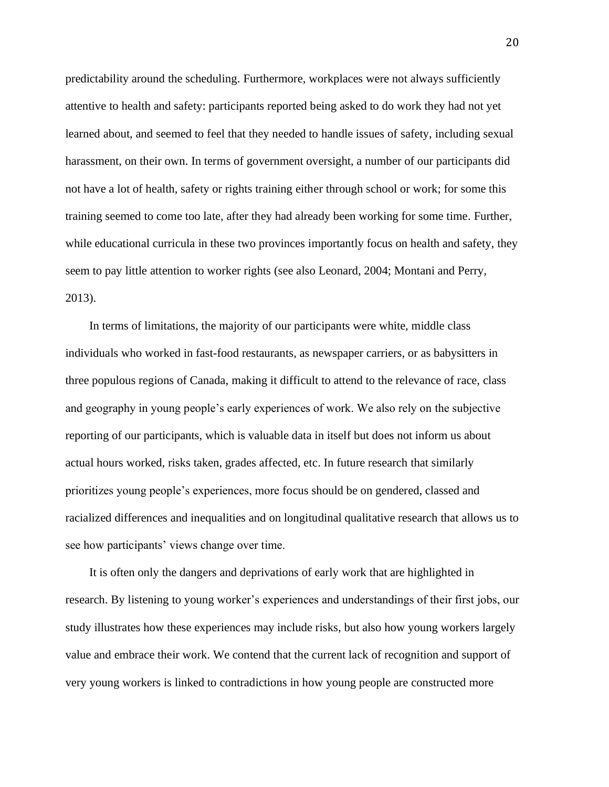predictability around the scheduling. Furthermore, workplaces were not always sufficiently attentive to health and safety: participants reported being asked to do work they had not yet learned about, and seemed to feel that they needed to handle issues of safety, including sexual harassment, on their own. In terms of government oversight, a number of our participants did not have a lot of health, safety or rights training either through school or work; for some this training seemed to come too late, after they had already been working for some time. Further, while educational curricula in these two provinces importantly focus on health and safety, they seem to pay little attention to worker rights (see also Leonard, 2004; Montani and Perry, 2013).

In terms of limitations, the majority of our participants were white, middle class individuals who worked in fast-food restaurants, as newspaper carriers, or as babysitters in three populous regions of Canada, making it difficult to attend to the relevance of race, class and geography in young people's early experiences of work. We also rely on the subjective reporting of our participants, which is valuable data in itself but does not inform us about actual hours worked, risks taken, grades affected, etc. In future research that similarly prioritizes young people's experiences, more focus should be on gendered, classed and racialized differences and inequalities and on longitudinal qualitative research that allows us to see how participants' views change over time.

It is often only the dangers and deprivations of early work that are highlighted in research. By listening to young worker's experiences and understandings of their first jobs, our study illustrates how these experiences may include risks, but also how young workers largely value and embrace their work. We contend that the current lack of recognition and support of very young workers is linked to contradictions in how young people are constructed more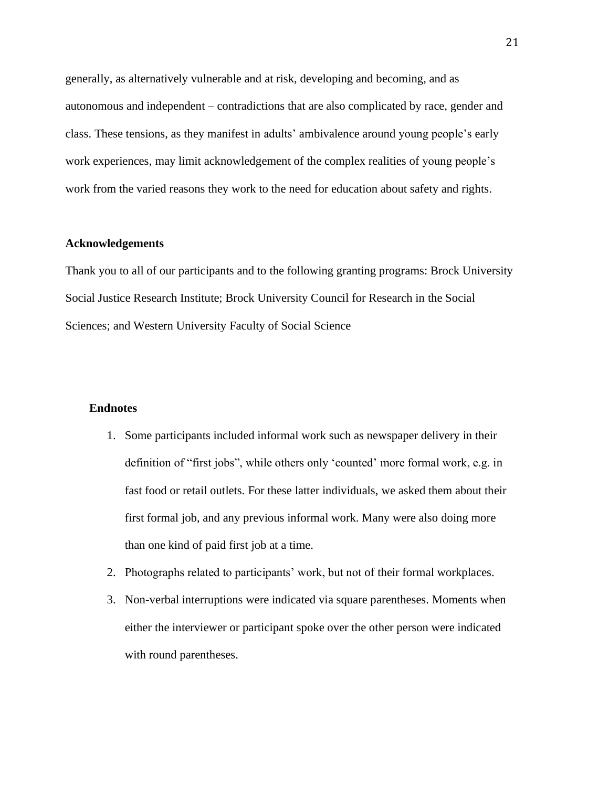generally, as alternatively vulnerable and at risk, developing and becoming, and as autonomous and independent – contradictions that are also complicated by race, gender and class. These tensions, as they manifest in adults' ambivalence around young people's early work experiences, may limit acknowledgement of the complex realities of young people's work from the varied reasons they work to the need for education about safety and rights.

# **Acknowledgements**

Thank you to all of our participants and to the following granting programs: Brock University Social Justice Research Institute; Brock University Council for Research in the Social Sciences; and Western University Faculty of Social Science

#### **Endnotes**

- 1. Some participants included informal work such as newspaper delivery in their definition of "first jobs", while others only 'counted' more formal work, e.g. in fast food or retail outlets. For these latter individuals, we asked them about their first formal job, and any previous informal work. Many were also doing more than one kind of paid first job at a time.
- 2. Photographs related to participants' work, but not of their formal workplaces.
- 3. Non-verbal interruptions were indicated via square parentheses. Moments when either the interviewer or participant spoke over the other person were indicated with round parentheses.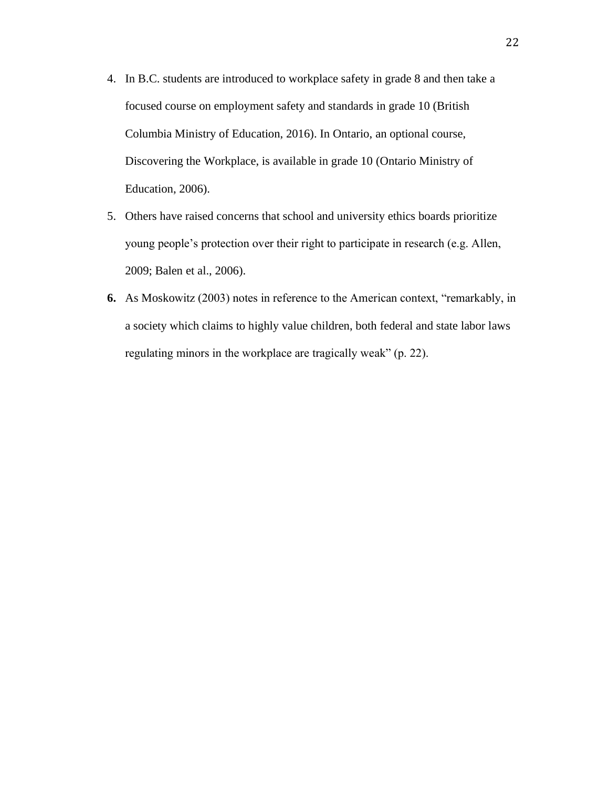- 4. In B.C. students are introduced to workplace safety in grade 8 and then take a focused course on employment safety and standards in grade 10 (British Columbia Ministry of Education, 2016). In Ontario, an optional course, Discovering the Workplace, is available in grade 10 (Ontario Ministry of Education, 2006).
- 5. Others have raised concerns that school and university ethics boards prioritize young people's protection over their right to participate in research (e.g. Allen, 2009; Balen et al., 2006).
- **6.** As Moskowitz (2003) notes in reference to the American context, "remarkably, in a society which claims to highly value children, both federal and state labor laws regulating minors in the workplace are tragically weak" (p. 22).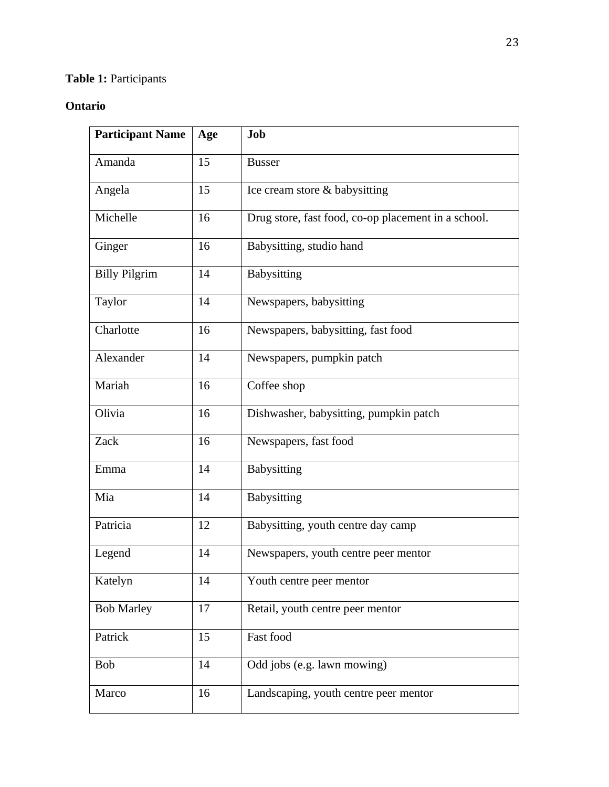# **Table 1:** Participants

# **Ontario**

| <b>Participant Name</b> | Age | Job                                                 |
|-------------------------|-----|-----------------------------------------------------|
| Amanda                  | 15  | <b>Busser</b>                                       |
| Angela                  | 15  | Ice cream store & babysitting                       |
| Michelle                | 16  | Drug store, fast food, co-op placement in a school. |
| Ginger                  | 16  | Babysitting, studio hand                            |
| <b>Billy Pilgrim</b>    | 14  | <b>Babysitting</b>                                  |
| Taylor                  | 14  | Newspapers, babysitting                             |
| Charlotte               | 16  | Newspapers, babysitting, fast food                  |
| Alexander               | 14  | Newspapers, pumpkin patch                           |
| Mariah                  | 16  | Coffee shop                                         |
| Olivia                  | 16  | Dishwasher, babysitting, pumpkin patch              |
| Zack                    | 16  | Newspapers, fast food                               |
| Emma                    | 14  | <b>Babysitting</b>                                  |
| Mia                     | 14  | <b>Babysitting</b>                                  |
| Patricia                | 12  | Babysitting, youth centre day camp                  |
| Legend                  | 14  | Newspapers, youth centre peer mentor                |
| Katelyn                 | 14  | Youth centre peer mentor                            |
| <b>Bob Marley</b>       | 17  | Retail, youth centre peer mentor                    |
| Patrick                 | 15  | Fast food                                           |
| <b>Bob</b>              | 14  | Odd jobs (e.g. lawn mowing)                         |
| Marco                   | 16  | Landscaping, youth centre peer mentor               |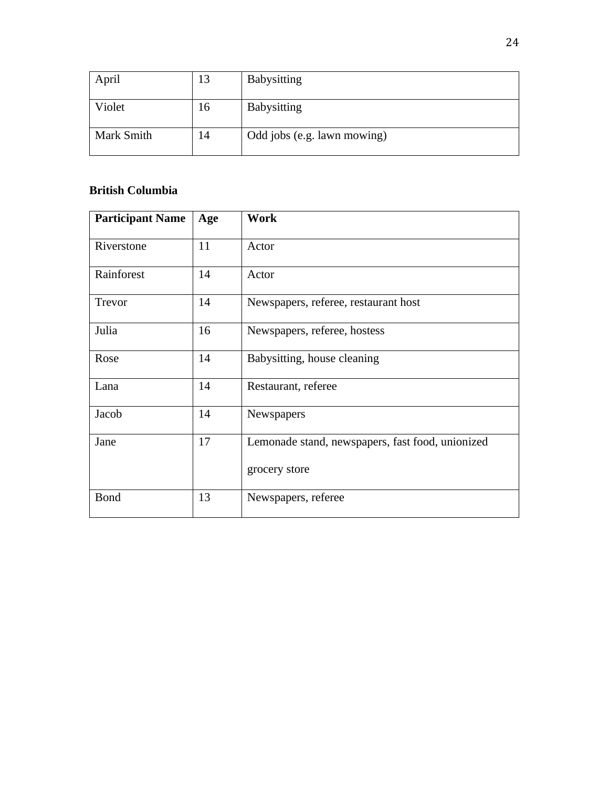| April             | 13 | <b>Babysitting</b>          |
|-------------------|----|-----------------------------|
| Violet            | 16 | <b>Babysitting</b>          |
| <b>Mark Smith</b> | 14 | Odd jobs (e.g. lawn mowing) |

# **British Columbia**

| <b>Participant Name</b> | Age | Work                                             |
|-------------------------|-----|--------------------------------------------------|
| Riverstone              | 11  | Actor                                            |
| Rainforest              | 14  | Actor                                            |
| Trevor                  | 14  | Newspapers, referee, restaurant host             |
| Julia                   | 16  | Newspapers, referee, hostess                     |
| Rose                    | 14  | Babysitting, house cleaning                      |
| Lana                    | 14  | Restaurant, referee                              |
| Jacob                   | 14  | Newspapers                                       |
| Jane                    | 17  | Lemonade stand, newspapers, fast food, unionized |
|                         |     | grocery store                                    |
| Bond                    | 13  | Newspapers, referee                              |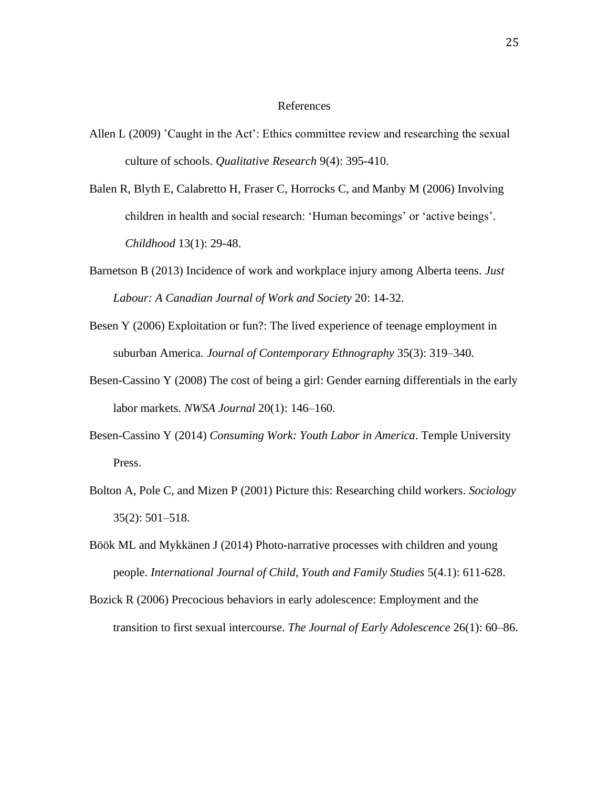#### References

- Allen L (2009) 'Caught in the Act': Ethics committee review and researching the sexual culture of schools. *Qualitative Research* 9(4): 395-410.
- Balen R, Blyth E, Calabretto H, Fraser C, Horrocks C, and Manby M (2006) Involving children in health and social research: 'Human becomings' or 'active beings'. *Childhood* 13(1): 29-48.
- Barnetson B (2013) Incidence of work and workplace injury among Alberta teens. *Just Labour: A Canadian Journal of Work and Society* 20: 14-32.
- Besen Y (2006) Exploitation or fun?: The lived experience of teenage employment in suburban America. *Journal of Contemporary Ethnography* 35(3): 319–340.
- Besen-Cassino Y (2008) The cost of being a girl: Gender earning differentials in the early labor markets. *NWSA Journal* 20(1): 146–160.
- Besen-Cassino Y (2014) *Consuming Work: Youth Labor in America*. Temple University Press.
- Bolton A, Pole C, and Mizen P (2001) Picture this: Researching child workers. *Sociology* 35(2): 501–518.
- Böök ML and Mykkänen J (2014) Photo-narrative processes with children and young people. *International Journal of Child, Youth and Family Studies* 5(4.1): 611-628.
- Bozick R (2006) Precocious behaviors in early adolescence: Employment and the transition to first sexual intercourse. *The Journal of Early Adolescence* 26(1): 60–86.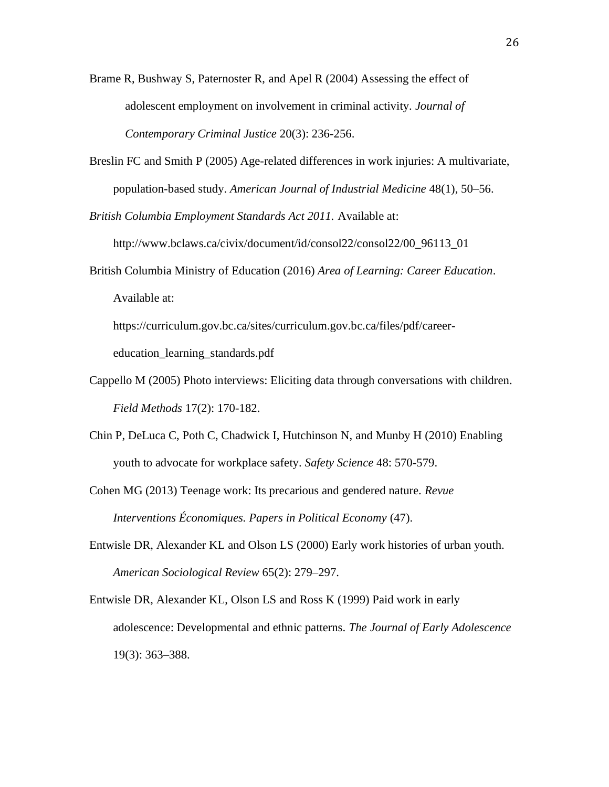- Brame R, Bushway S, Paternoster R, and Apel R (2004) Assessing the effect of adolescent employment on involvement in criminal activity. *Journal of Contemporary Criminal Justice* 20(3): 236-256.
- Breslin FC and Smith P (2005) Age-related differences in work injuries: A multivariate, population-based study. *American Journal of Industrial Medicine* 48(1), 50–56.

*British Columbia Employment Standards Act 2011.* Available at:

http://www.bclaws.ca/civix/document/id/consol22/consol22/00\_96113\_01

British Columbia Ministry of Education (2016) *Area of Learning: Career Education*. Available at:

https://curriculum.gov.bc.ca/sites/curriculum.gov.bc.ca/files/pdf/career-

education\_learning\_standards.pdf

- Cappello M (2005) Photo interviews: Eliciting data through conversations with children. *Field Methods* 17(2): 170-182.
- Chin P, DeLuca C, Poth C, Chadwick I, Hutchinson N, and Munby H (2010) Enabling youth to advocate for workplace safety. *Safety Science* 48: 570-579.
- Cohen MG (2013) Teenage work: Its precarious and gendered nature. *Revue Interventions Économiques. Papers in Political Economy* (47).
- Entwisle DR, Alexander KL and Olson LS (2000) Early work histories of urban youth. *American Sociological Review* 65(2): 279–297.
- Entwisle DR, Alexander KL, Olson LS and Ross K (1999) Paid work in early adolescence: Developmental and ethnic patterns. *The Journal of Early Adolescence* 19(3): 363–388.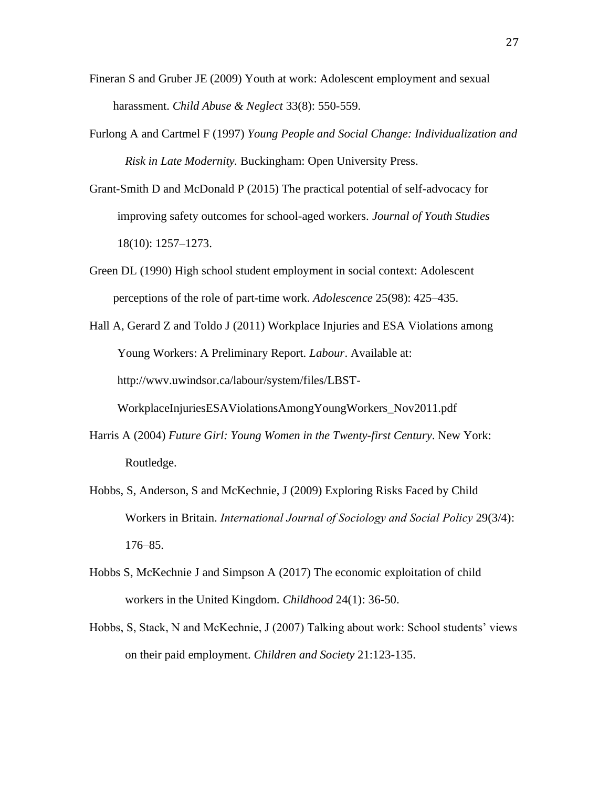- Fineran S and Gruber JE (2009) Youth at work: Adolescent employment and sexual harassment. *Child Abuse & Neglect* 33(8): 550-559.
- Furlong A and Cartmel F (1997) *Young People and Social Change: Individualization and Risk in Late Modernity.* Buckingham: Open University Press.
- Grant-Smith D and McDonald P (2015) The practical potential of self-advocacy for improving safety outcomes for school-aged workers. *Journal of Youth Studies*  18(10): 1257–1273.
- Green DL (1990) High school student employment in social context: Adolescent perceptions of the role of part-time work. *Adolescence* 25(98): 425–435.
- Hall A, Gerard Z and Toldo J (2011) Workplace Injuries and ESA Violations among Young Workers: A Preliminary Report. *Labour*. Available at: http://wwv.uwindsor.ca/labour/system/files/LBST-

WorkplaceInjuriesESAViolationsAmongYoungWorkers\_Nov2011.pdf

- Harris A (2004) *Future Girl: Young Women in the Twenty-first Century*. New York: Routledge.
- Hobbs, S, Anderson, S and McKechnie, J (2009) Exploring Risks Faced by Child Workers in Britain. *International Journal of Sociology and Social Policy* 29(3/4): 176–85.
- Hobbs S, McKechnie J and Simpson A (2017) The economic exploitation of child workers in the United Kingdom. *Childhood* 24(1): 36-50.
- Hobbs, S, Stack, N and McKechnie, J (2007) Talking about work: School students' views on their paid employment. *Children and Society* 21:123-135.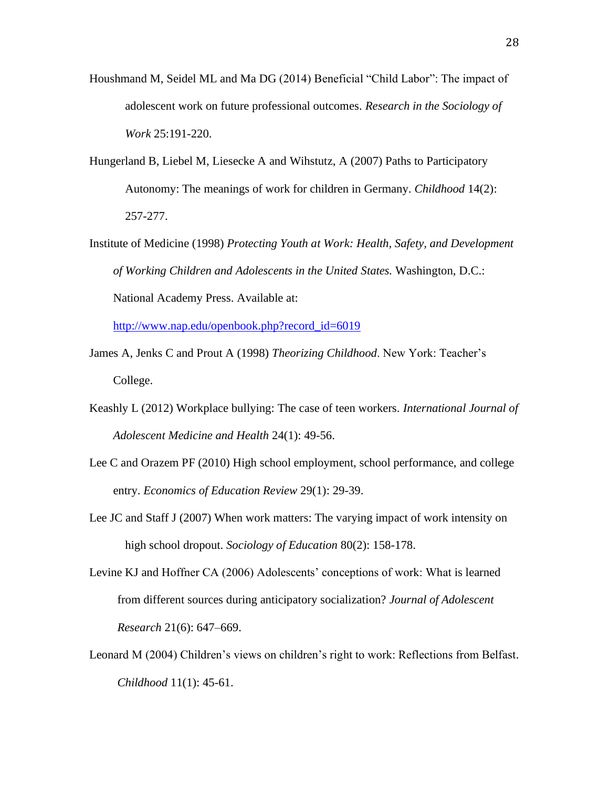- Houshmand M, Seidel ML and Ma DG (2014) Beneficial "Child Labor": The impact of adolescent work on future professional outcomes. *Research in the Sociology of Work* 25:191-220.
- Hungerland B, Liebel M, Liesecke A and Wihstutz, A (2007) Paths to Participatory Autonomy: The meanings of work for children in Germany. *Childhood* 14(2): 257-277.
- Institute of Medicine (1998) *Protecting Youth at Work: Health, Safety, and Development of Working Children and Adolescents in the United States.* Washington, D.C.: National Academy Press. Available at:

[http://www.nap.edu/openbook.php?record\\_id=6019](http://www.nap.edu/openbook.php?record_id=6019)

- James A, Jenks C and Prout A (1998) *Theorizing Childhood*. New York: Teacher's College.
- Keashly L (2012) Workplace bullying: The case of teen workers. *International Journal of Adolescent Medicine and Health* 24(1): 49-56.
- Lee C and Orazem PF (2010) High school employment, school performance, and college entry. *Economics of Education Review* 29(1): 29-39.
- Lee JC and Staff J (2007) When work matters: The varying impact of work intensity on high school dropout. *Sociology of Education* 80(2): 158-178.
- Levine KJ and Hoffner CA (2006) Adolescents' conceptions of work: What is learned from different sources during anticipatory socialization? *Journal of Adolescent Research* 21(6): 647–669.
- Leonard M (2004) Children's views on children's right to work: Reflections from Belfast. *Childhood* 11(1): 45-61.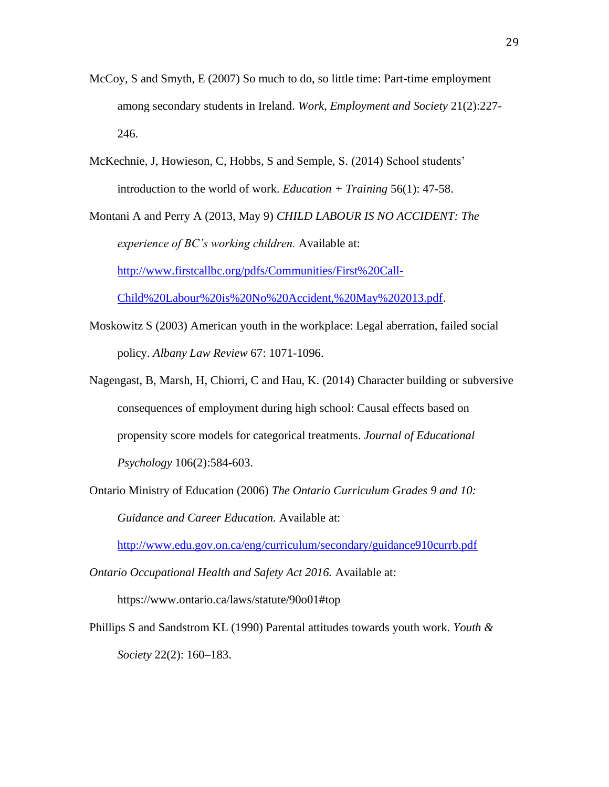- McCoy, S and Smyth, E (2007) So much to do, so little time: Part-time employment among secondary students in Ireland. *Work, Employment and Society* 21(2):227- 246.
- McKechnie, J, Howieson, C, Hobbs, S and Semple, S. (2014) School students' introduction to the world of work. *Education + Training* 56(1): 47-58.

Montani A and Perry A (2013, May 9) *CHILD LABOUR IS NO ACCIDENT: The experience of BC's working children.* Available at: [http://www.firstcallbc.org/pdfs/Communities/First%20Call-](http://www.firstcallbc.org/pdfs/Communities/First%20Call-Child%20Labour%20is%20No%20Accident,%20May%202013.pdf)

[Child%20Labour%20is%20No%20Accident,%20May%202013.pdf.](http://www.firstcallbc.org/pdfs/Communities/First%20Call-Child%20Labour%20is%20No%20Accident,%20May%202013.pdf)

- Moskowitz S (2003) American youth in the workplace: Legal aberration, failed social policy. *Albany Law Review* 67: 1071-1096.
- Nagengast, B, Marsh, H, Chiorri, C and Hau, K. (2014) Character building or subversive consequences of employment during high school: Causal effects based on propensity score models for categorical treatments. *Journal of Educational Psychology* 106(2):584-603.
- Ontario Ministry of Education (2006) *The Ontario Curriculum Grades 9 and 10: Guidance and Career Education.* Available at:

<http://www.edu.gov.on.ca/eng/curriculum/secondary/guidance910currb.pdf>

*Ontario Occupational Health and Safety Act 2016.* Available at:

https://www.ontario.ca/laws/statute/90o01#top

Phillips S and Sandstrom KL (1990) Parental attitudes towards youth work. *Youth & Society* 22(2): 160–183.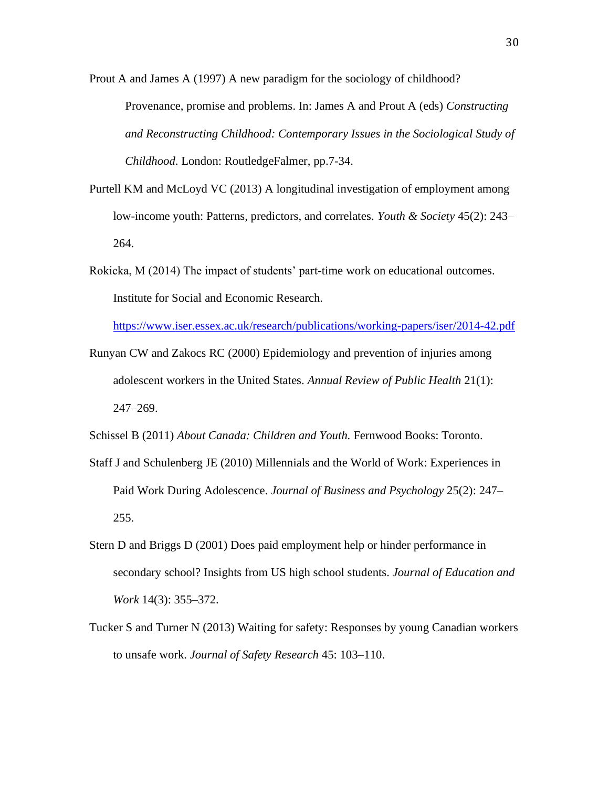Prout A and James A (1997) A new paradigm for the sociology of childhood? Provenance, promise and problems. In: James A and Prout A (eds) *Constructing and Reconstructing Childhood: Contemporary Issues in the Sociological Study of Childhood*. London: RoutledgeFalmer, pp.7-34.

- Purtell KM and McLoyd VC (2013) A longitudinal investigation of employment among low-income youth: Patterns, predictors, and correlates. *Youth & Society* 45(2): 243– 264.
- Rokicka, M (2014) The impact of students' part-time work on educational outcomes. Institute for Social and Economic Research.

<https://www.iser.essex.ac.uk/research/publications/working-papers/iser/2014-42.pdf>

Runyan CW and Zakocs RC (2000) Epidemiology and prevention of injuries among adolescent workers in the United States. *Annual Review of Public Health* 21(1): 247–269.

Schissel B (2011) *About Canada: Children and Youth.* Fernwood Books: Toronto.

- Staff J and Schulenberg JE (2010) Millennials and the World of Work: Experiences in Paid Work During Adolescence. *Journal of Business and Psychology* 25(2): 247– 255.
- Stern D and Briggs D (2001) Does paid employment help or hinder performance in secondary school? Insights from US high school students. *Journal of Education and Work* 14(3): 355–372.
- Tucker S and Turner N (2013) Waiting for safety: Responses by young Canadian workers to unsafe work. *Journal of Safety Research* 45: 103–110.